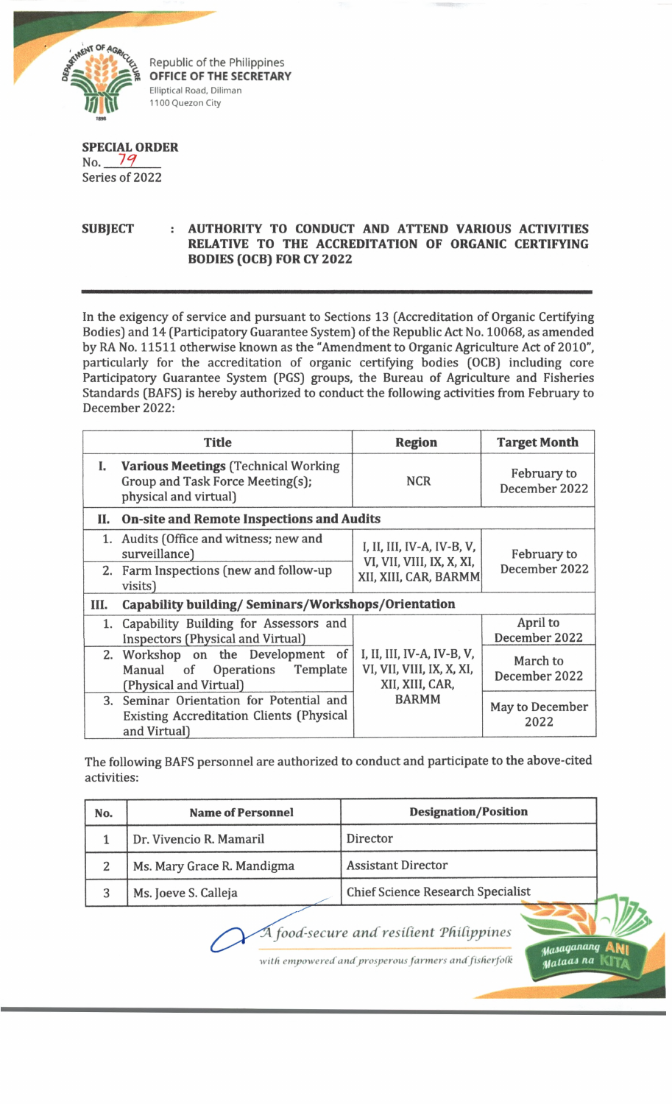

Republic of the Philippines **OFFICE OF THE SECRETARY** Elliptical Road, Diliman 1100 Quezon City

## **SPECIAL ORDER** No.  $79$ Series of 2022

## **SUBJECT : AUTHORITY TO CONDUCT AND ATTEND VARIOUS ACTIVITIES RELATIVE TO THE ACCREDITATION OF ORGANIC CERTIFYING BODIES (OCB) FOR CY 2022**

In the exigency of service and pursuant to Sections 13 (Accreditation of Organic Certifying Bodies) and 14 (Participatory Guarantee System) of the Republic Act No. 10068, as amended by RA No. 11511 otherwise known as the "Amendment to Organic Agriculture Act of 2010", particularly for the accreditation of organic certifying bodies (OCB) including core Participatory Guarantee System (PGS) groups, the Bureau of Agriculture and Fisheries Standards (BAFS) is hereby authorized to conduct the following activities from February to December 2022:

|      | <b>Title</b>                                                                                        | <b>Region</b>                                                                    | <b>Target Month</b>          |  |  |
|------|-----------------------------------------------------------------------------------------------------|----------------------------------------------------------------------------------|------------------------------|--|--|
|      | I. Various Meetings (Technical Working<br>Group and Task Force Meeting(s);<br>physical and virtual) | <b>NCR</b>                                                                       | February to<br>December 2022 |  |  |
|      | II. On-site and Remote Inspections and Audits                                                       |                                                                                  |                              |  |  |
|      | 1. Audits (Office and witness; new and<br>surveillance)                                             | I, II, III, IV-A, IV-B, V,<br>VI, VII, VIII, IX, X, XI,<br>XII, XIII, CAR, BARMM | February to                  |  |  |
|      | 2. Farm Inspections (new and follow-up<br>visits)                                                   |                                                                                  | December 2022                |  |  |
| III. | Capability building/ Seminars/Workshops/Orientation                                                 |                                                                                  |                              |  |  |
|      | 1. Capability Building for Assessors and<br><b>Inspectors (Physical and Virtual)</b>                |                                                                                  | April to<br>December 2022    |  |  |
|      | 2. Workshop on the Development of<br>Operations Template<br>Manual of<br>(Physical and Virtual)     | I, II, III, IV-A, IV-B, V,<br>VI, VII, VIII, IX, X, XI,<br>XII, XIII, CAR,       | March to<br>December 2022    |  |  |
| 3.   | Seminar Orientation for Potential and<br>Existing Accreditation Clients (Physical<br>and Virtual)   | <b>BARMM</b>                                                                     | May to December<br>2022      |  |  |

The following BAFS personnel are authorized to conduct and participate to the above-cited activities:

| No. | <b>Name of Personnel</b>   | <b>Designation/Position</b>              |
|-----|----------------------------|------------------------------------------|
|     | Dr. Vivencio R. Mamaril    | Director                                 |
|     | Ms. Mary Grace R. Mandigma | <b>Assistant Director</b>                |
|     | Ms. Joeve S. Calleja       | <b>Chief Science Research Specialist</b> |
|     |                            |                                          |

 $\overline{A}$  food-secure and resilient Philippines

*with empowered and prosperous farmers andjisherjotk*

*^dsaqanaiuj* **ANi** *Hfataa*J *na* KJTa